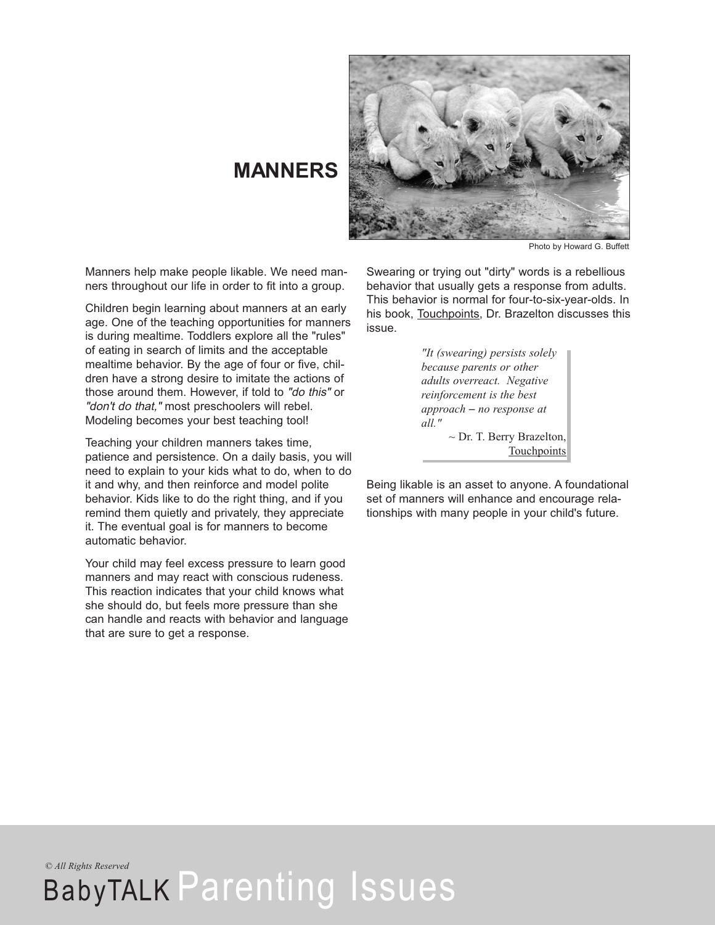

# **MANNERS**

Photo by Howard G. Buffett

Manners help make people likable. We need manners throughout our life in order to fit into a group.

Children begin learning about manners at an early age. One of the teaching opportunities for manners is during mealtime. Toddlers explore all the "rules" of eating in search of limits and the acceptable mealtime behavior. By the age of four or five, children have a strong desire to imitate the actions of those around them. However, if told to "do this" or "don't do that," most preschoolers will rebel. Modeling becomes your best teaching tool!

Teaching your children manners takes time, patience and persistence. On a daily basis, you will need to explain to your kids what to do, when to do it and why, and then reinforce and model polite behavior. Kids like to do the right thing, and if you remind them quietly and privately, they appreciate it. The eventual goal is for manners to become automatic behavior.

Your child may feel excess pressure to learn good manners and may react with conscious rudeness. This reaction indicates that your child knows what she should do, but feels more pressure than she can handle and reacts with behavior and language that are sure to get a response.

Swearing or trying out "dirty" words is a rebellious behavior that usually gets a response from adults. This behavior is normal for four-to-six-year-olds. In his book, Touchpoints, Dr. Brazelton discusses this issue.

> *"It (swearing) persists solely because parents or other adults overreact. Negative reinforcement is the best approach* – *no response at all."*  $\sim$  Dr. T. Berry Brazelton, Touchpoints

Being likable is an asset to anyone. A foundational set of manners will enhance and encourage relationships with many people in your child's future.

*© All Rights Reserved*

BabyTALK Parenting Issues